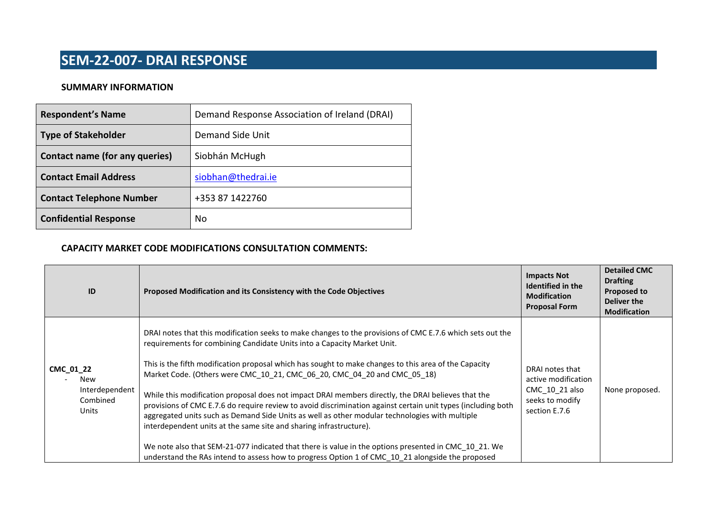### **SEM-22-007- DRAI RESPONSE**

### **SUMMARY INFORMATION**

| <b>Respondent's Name</b>        | Demand Response Association of Ireland (DRAI) |
|---------------------------------|-----------------------------------------------|
| <b>Type of Stakeholder</b>      | Demand Side Unit                              |
| Contact name (for any queries)  | Siobhán McHugh                                |
| <b>Contact Email Address</b>    | siobhan@thedrai.ie                            |
| <b>Contact Telephone Number</b> | +353 87 1422760                               |
| <b>Confidential Response</b>    | No                                            |

#### **CAPACITY MARKET CODE MODIFICATIONS CONSULTATION COMMENTS:**

| ID                                                      | Proposed Modification and its Consistency with the Code Objectives                                                                                                                                                                                                                                                                                                                                                                                                                                                                                                                                                                                                                                                                                                                                                                                                                                                                                                                  | <b>Impacts Not</b><br>Identified in the<br><b>Modification</b><br><b>Proposal Form</b>       | <b>Detailed CMC</b><br><b>Drafting</b><br><b>Proposed to</b><br><b>Deliver the</b><br><b>Modification</b> |
|---------------------------------------------------------|-------------------------------------------------------------------------------------------------------------------------------------------------------------------------------------------------------------------------------------------------------------------------------------------------------------------------------------------------------------------------------------------------------------------------------------------------------------------------------------------------------------------------------------------------------------------------------------------------------------------------------------------------------------------------------------------------------------------------------------------------------------------------------------------------------------------------------------------------------------------------------------------------------------------------------------------------------------------------------------|----------------------------------------------------------------------------------------------|-----------------------------------------------------------------------------------------------------------|
| CMC_01_22<br>New<br>Interdependent<br>Combined<br>Units | DRAI notes that this modification seeks to make changes to the provisions of CMC E.7.6 which sets out the<br>requirements for combining Candidate Units into a Capacity Market Unit.<br>This is the fifth modification proposal which has sought to make changes to this area of the Capacity<br>Market Code. (Others were CMC 10 21, CMC 06 20, CMC 04 20 and CMC 05 18)<br>While this modification proposal does not impact DRAI members directly, the DRAI believes that the<br>provisions of CMC E.7.6 do require review to avoid discrimination against certain unit types (including both<br>aggregated units such as Demand Side Units as well as other modular technologies with multiple<br>interdependent units at the same site and sharing infrastructure).<br>We note also that SEM-21-077 indicated that there is value in the options presented in CMC 10 21. We<br>understand the RAs intend to assess how to progress Option 1 of CMC 10 21 alongside the proposed | DRAI notes that<br>active modification<br>CMC_10_21 also<br>seeks to modify<br>section E.7.6 | None proposed.                                                                                            |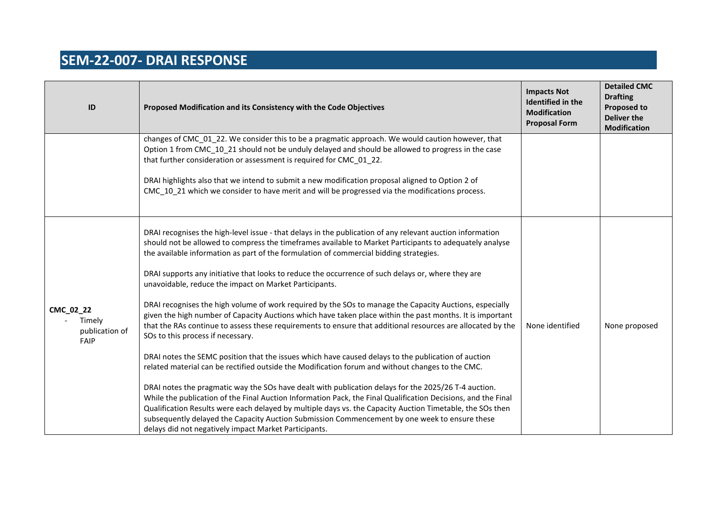# **SEM-22-007- DRAI RESPONSE**

| $\mathsf{ID}$                                 | Proposed Modification and its Consistency with the Code Objectives                                                                                                                                                                                                                                                                                                                                                                                                                                                                                                                                                                                                                                                                                                                                                                                                                                                                                                                                                                                                                                                                                                                                                                                                                                                                                                                                                                                                                                                                                                    | <b>Impacts Not</b><br>Identified in the<br><b>Modification</b><br><b>Proposal Form</b> | <b>Detailed CMC</b><br><b>Drafting</b><br><b>Proposed to</b><br><b>Deliver the</b><br><b>Modification</b> |
|-----------------------------------------------|-----------------------------------------------------------------------------------------------------------------------------------------------------------------------------------------------------------------------------------------------------------------------------------------------------------------------------------------------------------------------------------------------------------------------------------------------------------------------------------------------------------------------------------------------------------------------------------------------------------------------------------------------------------------------------------------------------------------------------------------------------------------------------------------------------------------------------------------------------------------------------------------------------------------------------------------------------------------------------------------------------------------------------------------------------------------------------------------------------------------------------------------------------------------------------------------------------------------------------------------------------------------------------------------------------------------------------------------------------------------------------------------------------------------------------------------------------------------------------------------------------------------------------------------------------------------------|----------------------------------------------------------------------------------------|-----------------------------------------------------------------------------------------------------------|
|                                               | changes of CMC_01_22. We consider this to be a pragmatic approach. We would caution however, that<br>Option 1 from CMC_10_21 should not be unduly delayed and should be allowed to progress in the case<br>that further consideration or assessment is required for CMC_01_22.<br>DRAI highlights also that we intend to submit a new modification proposal aligned to Option 2 of<br>CMC 10 21 which we consider to have merit and will be progressed via the modifications process.                                                                                                                                                                                                                                                                                                                                                                                                                                                                                                                                                                                                                                                                                                                                                                                                                                                                                                                                                                                                                                                                                 |                                                                                        |                                                                                                           |
| CMC_02_22<br>Timely<br>publication of<br>FAIP | DRAI recognises the high-level issue - that delays in the publication of any relevant auction information<br>should not be allowed to compress the timeframes available to Market Participants to adequately analyse<br>the available information as part of the formulation of commercial bidding strategies.<br>DRAI supports any initiative that looks to reduce the occurrence of such delays or, where they are<br>unavoidable, reduce the impact on Market Participants.<br>DRAI recognises the high volume of work required by the SOs to manage the Capacity Auctions, especially<br>given the high number of Capacity Auctions which have taken place within the past months. It is important<br>that the RAs continue to assess these requirements to ensure that additional resources are allocated by the<br>SOs to this process if necessary.<br>DRAI notes the SEMC position that the issues which have caused delays to the publication of auction<br>related material can be rectified outside the Modification forum and without changes to the CMC.<br>DRAI notes the pragmatic way the SOs have dealt with publication delays for the 2025/26 T-4 auction.<br>While the publication of the Final Auction Information Pack, the Final Qualification Decisions, and the Final<br>Qualification Results were each delayed by multiple days vs. the Capacity Auction Timetable, the SOs then<br>subsequently delayed the Capacity Auction Submission Commencement by one week to ensure these<br>delays did not negatively impact Market Participants. | None identified                                                                        | None proposed                                                                                             |